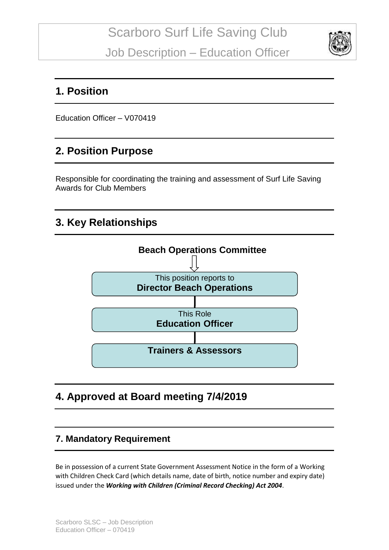

### **1. Position**

Education Officer – V070419

## **2. Position Purpose**

Responsible for coordinating the training and assessment of Surf Life Saving Awards for Club Members

## **3. Key Relationships**



# **4. Approved at Board meeting 7/4/2019**

#### **7. Mandatory Requirement**

Be in possession of a current State Government Assessment Notice in the form of a Working with Children Check Card (which details name, date of birth, notice number and expiry date) issued under the *Working with Children (Criminal Record Checking) Act 2004*.